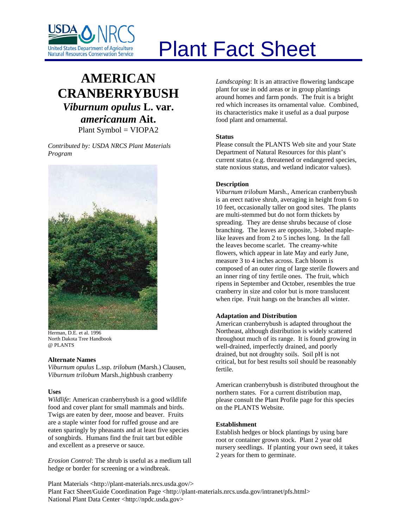

# Plant Fact Sheet

# **AMERICAN CRANBERRYBUSH** *Viburnum opulus* **L. var.**  *americanum* **Ait.**

Plant Symbol = VIOPA2

*Contributed by: USDA NRCS Plant Materials Program* 



Herman, D.E. et al. 1996 North Dakota Tree Handbook @ PLANTS

#### **Alternate Names**

*Viburnum opulus* L.ssp. *trilobum* (Marsh.) Clausen, *Viburnum trilobum* Marsh.,highbush cranberry

# **Uses**

*Wildlife*: American cranberrybush is a good wildlife food and cover plant for small mammals and birds. Twigs are eaten by deer, moose and beaver. Fruits are a staple winter food for ruffed grouse and are eaten sparingly by pheasants and at least five species of songbirds. Humans find the fruit tart but edible and excellent as a preserve or sauce.

*Erosion Control*: The shrub is useful as a medium tall hedge or border for screening or a windbreak.

*Landscaping*: It is an attractive flowering landscape plant for use in odd areas or in group plantings around homes and farm ponds. The fruit is a bright red which increases its ornamental value. Combined, its characteristics make it useful as a dual purpose food plant and ornamental.

# **Status**

Please consult the PLANTS Web site and your State Department of Natural Resources for this plant's current status (e.g. threatened or endangered species, state noxious status, and wetland indicator values).

# **Description**

*Viburnum trilobum* Marsh., American cranberrybush is an erect native shrub, averaging in height from 6 to 10 feet, occasionally taller on good sites. The plants are multi-stemmed but do not form thickets by spreading. They are dense shrubs because of close branching. The leaves are opposite, 3-lobed maplelike leaves and from 2 to 5 inches long. In the fall the leaves become scarlet. The creamy-white flowers, which appear in late May and early June, measure 3 to 4 inches across. Each bloom is composed of an outer ring of large sterile flowers and an inner ring of tiny fertile ones. The fruit, which ripens in September and October, resembles the true cranberry in size and color but is more translucent when ripe. Fruit hangs on the branches all winter.

# **Adaptation and Distribution**

American cranberrybush is adapted throughout the Northeast, although distribution is widely scattered throughout much of its range. It is found growing in well-drained, imperfectly drained, and poorly drained, but not droughty soils. Soil pH is not critical, but for best results soil should be reasonably fertile.

American cranberrybush is distributed throughout the northern states. For a current distribution map, please consult the Plant Profile page for this species on the PLANTS Website.

#### **Establishment**

Establish hedges or block plantings by using bare root or container grown stock. Plant 2 year old nursery seedlings. If planting your own seed, it takes 2 years for them to germinate.

Plant Materials <http://plant-materials.nrcs.usda.gov/> Plant Fact Sheet/Guide Coordination Page <http://plant-materials.nrcs.usda.gov/intranet/pfs.html> National Plant Data Center <http://npdc.usda.gov>